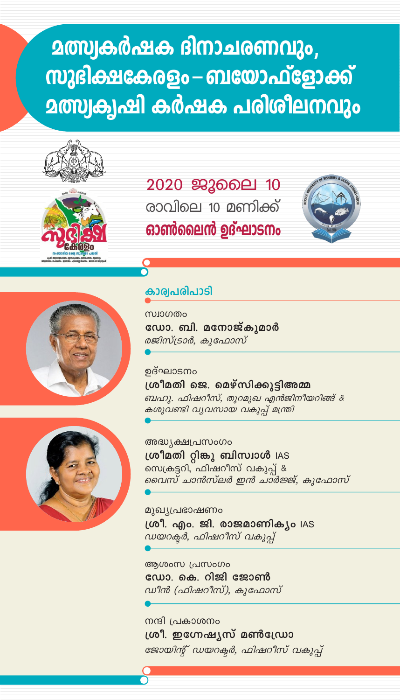# **മത്സ്വകർഷക ദിനാചരണവും,** സുഭിക്ഷകേരളം – ബയോഫ്ളോക്ക് <u>മത്സ്വകൃഷി കർഷക പരിശീലനവും</u>



### 2020 ജൂലൈ 10 രാവിലെ 10 മണിക്ക് ഓൺലൈൻ ഉദ്ഘാടനം





#### കാര്വപരിപാടി

സ്ഥാഗതം ഡോ. ബി. മനോജ്കൂമാർ രജിസ്ട്രാർ, കുഫോസ്

ഉദ്ഘാടനം ശ്രീമതി ജെ. മെഴ്സിക്കുട്ടിഅമ്മ ബഹു. ഫിഷറീസ്, തുറമുഖ എൻജിനീയറിങ്ങ് & കശുവണ്ടി വ്യവസായ വകുപ്പ് മന്ത്രി

അദ്ധ്യക്ഷപ്രസംഗം ശ്രീമതി റ്റിങ്കു ബിസ്വാൾ IAS സെക്രട്ടറി, ഫിഷറീസ് വകുപ്പ് & വൈസ് ചാൻസ്ലർ ഇൻ ചാർജ്ജ്, കുഫോസ്

മുഖ്യപ്രഭാഷണം ശ്രീ. എം. ജി. രാജമാണിക്യം IAS ഡയറക്ടർ, ഫിഷറീസ് വകുപ്

ആശംസ പ്രസംഗം ഡോ. കെ. റിജി ജോൺ ഡീൻ (ഫിഷറീസ്), കുഫോസ്

നന്ദി പ്രകാശനം ശ്രീ. ഇഗ്നേഷ്യസ് മൺഡ്രോ ജോയിന്റ് ഡയറക്ടർ, ഫിഷറീസ് വകുപ്പ്

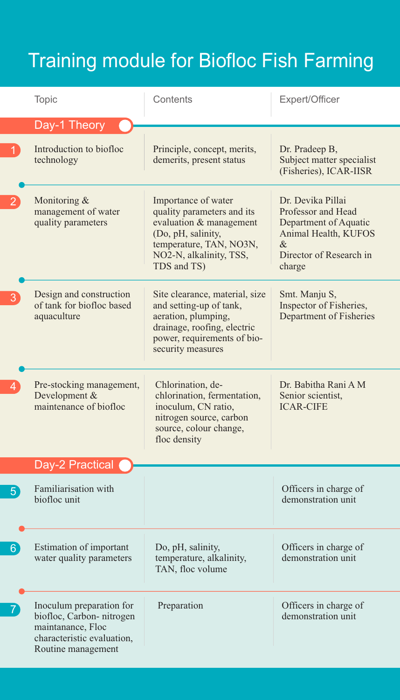## Training module for Biofloc Fish Farming

|             | <b>Topic</b>                                                                                                                  | Contents                                                                                                                                                                | Expert/Officer                                                                                                                     |
|-------------|-------------------------------------------------------------------------------------------------------------------------------|-------------------------------------------------------------------------------------------------------------------------------------------------------------------------|------------------------------------------------------------------------------------------------------------------------------------|
|             | Day-1 Theory                                                                                                                  |                                                                                                                                                                         |                                                                                                                                    |
|             | Introduction to biofloc<br>technology                                                                                         | Principle, concept, merits,<br>demerits, present status                                                                                                                 | Dr. Pradeep B,<br>Subject matter specialist<br>(Fisheries), ICAR-IISR                                                              |
|             | Monitoring &<br>management of water<br>quality parameters                                                                     | Importance of water<br>quality parameters and its<br>evaluation & management<br>(Do, pH, salinity,<br>temperature, TAN, NO3N,<br>NO2-N, alkalinity, TSS,<br>TDS and TS) | Dr. Devika Pillai<br>Professor and Head<br>Department of Aquatic<br>Animal Health, KUFOS<br>&<br>Director of Research in<br>charge |
|             | Design and construction<br>of tank for biofloc based<br>aquaculture                                                           | Site clearance, material, size<br>and setting-up of tank,<br>aeration, plumping,<br>drainage, roofing, electric<br>power, requirements of bio-<br>security measures     | Smt. Manju S,<br>Inspector of Fisheries,<br>Department of Fisheries                                                                |
|             | Pre-stocking management,<br>Development &<br>maintenance of biofloc                                                           | Chlorination, de-<br>chlorination, fermentation,<br>inoculum, CN ratio,<br>nitrogen source, carbon<br>source, colour change,<br>floc density                            | Dr. Babitha Rani A M<br>Senior scientist,<br><b>ICAR-CIFE</b>                                                                      |
|             | Day-2 Practical                                                                                                               |                                                                                                                                                                         |                                                                                                                                    |
| $5^{\circ}$ | Familiarisation with<br>biofloc unit                                                                                          |                                                                                                                                                                         | Officers in charge of<br>demonstration unit                                                                                        |
| $6^{\circ}$ | Estimation of important<br>water quality parameters                                                                           | Do, pH, salinity,<br>temperature, alkalinity,<br>TAN, floc volume                                                                                                       | Officers in charge of<br>demonstration unit                                                                                        |
|             | Inoculum preparation for<br>biofloc, Carbon-nitrogen<br>maintanance, Floc<br>characteristic evaluation,<br>Routine management | Preparation                                                                                                                                                             | Officers in charge of<br>demonstration unit                                                                                        |